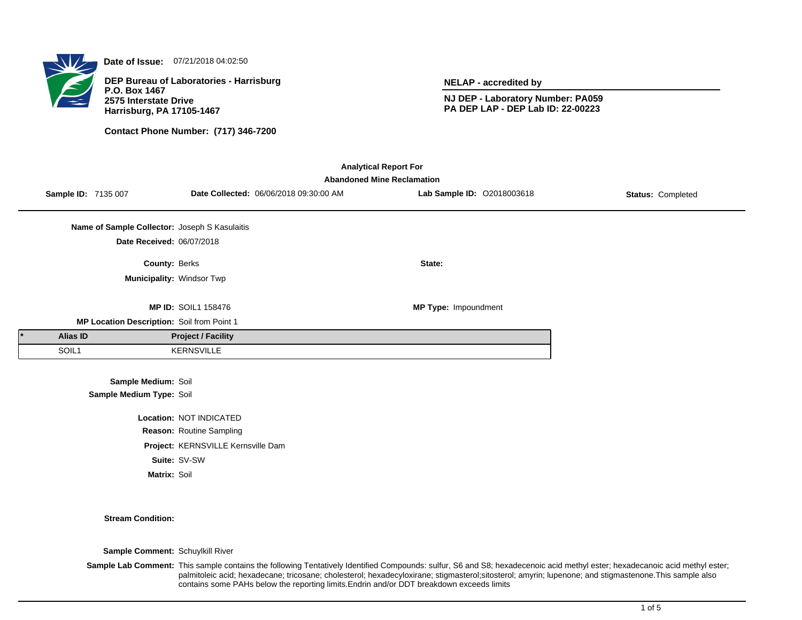

**Date of Issue:** 07/21/2018 04:02:50

**DEP Bureau of Laboratories - Harrisburg P.O. Box 1467 2575 Interstate Drive Harrisburg, PA 17105-1467**

**Contact Phone Number: (717) 346-7200**

**NELAP - accredited by**

**NJ DEP - Laboratory Number: PA059 PA DEP LAP - DEP Lab ID: 22-00223**

| <b>Analytical Report For</b><br><b>Abandoned Mine Reclamation</b> |                     |                                               |                            |                                        |                            |                   |  |
|-------------------------------------------------------------------|---------------------|-----------------------------------------------|----------------------------|----------------------------------------|----------------------------|-------------------|--|
|                                                                   | Sample ID: 7135 007 |                                               |                            | Date Collected: 06/06/2018 09:30:00 AM | Lab Sample ID: 02018003618 | Status: Completed |  |
|                                                                   |                     | Name of Sample Collector: Joseph S Kasulaitis |                            |                                        |                            |                   |  |
|                                                                   |                     | Date Received: 06/07/2018                     |                            |                                        |                            |                   |  |
|                                                                   |                     | <b>County: Berks</b>                          |                            |                                        | State:                     |                   |  |
|                                                                   |                     | Municipality: Windsor Twp                     |                            |                                        |                            |                   |  |
|                                                                   |                     |                                               | <b>MP ID: SOIL1 158476</b> |                                        | MP Type: Impoundment       |                   |  |
| MP Location Description: Soil from Point 1                        |                     |                                               |                            |                                        |                            |                   |  |
|                                                                   | Alias ID            |                                               | <b>Project / Facility</b>  |                                        |                            |                   |  |
|                                                                   | SOIL1               |                                               | <b>KERNSVILLE</b>          |                                        |                            |                   |  |
| Sample Medium: Soil                                               |                     |                                               |                            |                                        |                            |                   |  |
| Sample Medium Type: Soil                                          |                     |                                               |                            |                                        |                            |                   |  |
| Location: NOT INDICATED                                           |                     |                                               |                            |                                        |                            |                   |  |
| Reason: Routine Sampling                                          |                     |                                               |                            |                                        |                            |                   |  |

**Project:** KERNSVILLE Kernsville Dam **Suite:** SV-SW

**Matrix:** Soil

**Stream Condition:**

**Sample Comment:** Schuylkill River

Sample Lab Comment: This sample contains the following Tentatively Identified Compounds: sulfur, S6 and S8; hexadecenoic acid methyl ester; hexadecanoic acid methyl ester; palmitoleic acid; hexadecane; tricosane; cholesterol; hexadecyloxirane; stigmasterol;sitosterol; amyrin; lupenone; and stigmastenone.This sample also contains some PAHs below the reporting limits.Endrin and/or DDT breakdown exceeds limits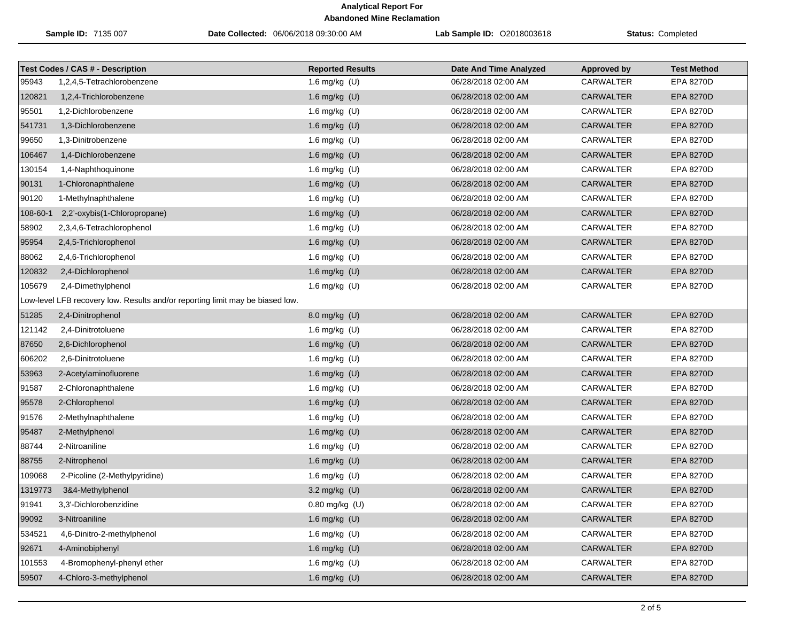| Sample ID: 7135 007 |                                                                               | Date Collected: 06/06/2018 09:30:00 AM | <b>Lab Sample ID: 02018003618</b> | <b>Status: Completed</b> |                    |
|---------------------|-------------------------------------------------------------------------------|----------------------------------------|-----------------------------------|--------------------------|--------------------|
|                     | <b>Test Codes / CAS # - Description</b>                                       | <b>Reported Results</b>                | <b>Date And Time Analyzed</b>     | <b>Approved by</b>       | <b>Test Method</b> |
| 95943               | 1,2,4,5-Tetrachlorobenzene                                                    | 1.6 mg/kg (U)                          | 06/28/2018 02:00 AM               | <b>CARWALTER</b>         | EPA 8270D          |
| 120821              | 1,2,4-Trichlorobenzene                                                        | 1.6 mg/kg $(U)$                        | 06/28/2018 02:00 AM               | <b>CARWALTER</b>         | EPA 8270D          |
| 95501               | 1,2-Dichlorobenzene                                                           | 1.6 mg/kg (U)                          | 06/28/2018 02:00 AM               | <b>CARWALTER</b>         | <b>EPA 8270D</b>   |
| 541731              | 1,3-Dichlorobenzene                                                           | 1.6 mg/kg (U)                          | 06/28/2018 02:00 AM               | <b>CARWALTER</b>         | <b>EPA 8270D</b>   |
| 99650               | 1,3-Dinitrobenzene                                                            | 1.6 mg/kg (U)                          | 06/28/2018 02:00 AM               | <b>CARWALTER</b>         | EPA 8270D          |
| 106467              | 1,4-Dichlorobenzene                                                           | 1.6 mg/kg (U)                          | 06/28/2018 02:00 AM               | <b>CARWALTER</b>         | <b>EPA 8270D</b>   |
| 130154              | 1,4-Naphthoquinone                                                            | 1.6 mg/kg (U)                          | 06/28/2018 02:00 AM               | CARWALTER                | EPA 8270D          |
| 90131               | 1-Chloronaphthalene                                                           | 1.6 mg/kg (U)                          | 06/28/2018 02:00 AM               | <b>CARWALTER</b>         | EPA 8270D          |
| 90120               | 1-Methylnaphthalene                                                           | 1.6 mg/kg (U)                          | 06/28/2018 02:00 AM               | <b>CARWALTER</b>         | <b>EPA 8270D</b>   |
| 108-60-1            | 2,2'-oxybis(1-Chloropropane)                                                  | 1.6 mg/kg (U)                          | 06/28/2018 02:00 AM               | <b>CARWALTER</b>         | <b>EPA 8270D</b>   |
| 58902               | 2,3,4,6-Tetrachlorophenol                                                     | 1.6 mg/kg (U)                          | 06/28/2018 02:00 AM               | <b>CARWALTER</b>         | <b>EPA 8270D</b>   |
| 95954               | 2,4,5-Trichlorophenol                                                         | 1.6 mg/kg (U)                          | 06/28/2018 02:00 AM               | <b>CARWALTER</b>         | <b>EPA 8270D</b>   |
| 88062               | 2,4,6-Trichlorophenol                                                         | 1.6 mg/kg (U)                          | 06/28/2018 02:00 AM               | CARWALTER                | EPA 8270D          |
| 120832              | 2,4-Dichlorophenol                                                            | 1.6 mg/kg (U)                          | 06/28/2018 02:00 AM               | <b>CARWALTER</b>         | <b>EPA 8270D</b>   |
| 105679              | 2,4-Dimethylphenol                                                            | 1.6 mg/kg (U)                          | 06/28/2018 02:00 AM               | <b>CARWALTER</b>         | EPA 8270D          |
|                     | Low-level LFB recovery low. Results and/or reporting limit may be biased low. |                                        |                                   |                          |                    |
| 51285               | 2,4-Dinitrophenol                                                             | 8.0 mg/kg (U)                          | 06/28/2018 02:00 AM               | <b>CARWALTER</b>         | <b>EPA 8270D</b>   |
| 121142              | 2,4-Dinitrotoluene                                                            | 1.6 mg/kg (U)                          | 06/28/2018 02:00 AM               | CARWALTER                | <b>EPA 8270D</b>   |
| 87650               | 2,6-Dichlorophenol                                                            | 1.6 mg/kg (U)                          | 06/28/2018 02:00 AM               | <b>CARWALTER</b>         | <b>EPA 8270D</b>   |
| 606202              | 2,6-Dinitrotoluene                                                            | 1.6 mg/kg (U)                          | 06/28/2018 02:00 AM               | <b>CARWALTER</b>         | EPA 8270D          |
| 53963               | 2-Acetylaminofluorene                                                         | 1.6 mg/kg (U)                          | 06/28/2018 02:00 AM               | <b>CARWALTER</b>         | <b>EPA 8270D</b>   |
| 91587               | 2-Chloronaphthalene                                                           | 1.6 mg/kg (U)                          | 06/28/2018 02:00 AM               | CARWALTER                | EPA 8270D          |
| 95578               | 2-Chlorophenol                                                                | 1.6 mg/kg (U)                          | 06/28/2018 02:00 AM               | <b>CARWALTER</b>         | EPA 8270D          |
| 91576               | 2-Methylnaphthalene                                                           | 1.6 mg/kg (U)                          | 06/28/2018 02:00 AM               | CARWALTER                | EPA 8270D          |
| 95487               | 2-Methylphenol                                                                | 1.6 mg/kg (U)                          | 06/28/2018 02:00 AM               | <b>CARWALTER</b>         | <b>EPA 8270D</b>   |
| 88744               | 2-Nitroaniline                                                                | 1.6 mg/kg (U)                          | 06/28/2018 02:00 AM               | <b>CARWALTER</b>         | <b>EPA 8270D</b>   |
| 88755               | 2-Nitrophenol                                                                 | 1.6 mg/kg (U)                          | 06/28/2018 02:00 AM               | <b>CARWALTER</b>         | <b>EPA 8270D</b>   |
| 109068              | 2-Picoline (2-Methylpyridine)                                                 | 1.6 mg/kg (U)                          | 06/28/2018 02:00 AM               | CARWALTER                | EPA 8270D          |
| 1319773             | 3&4-Methylphenol                                                              | 3.2 mg/kg $(U)$                        | 06/28/2018 02:00 AM               | <b>CARWALTER</b>         | <b>EPA 8270D</b>   |
| 91941               | 3,3'-Dichlorobenzidine                                                        | 0.80 mg/kg (U)                         | 06/28/2018 02:00 AM               | CARWALTER                | EPA 8270D          |
| 99092               | 3-Nitroaniline                                                                | 1.6 mg/kg (U)                          | 06/28/2018 02:00 AM               | <b>CARWALTER</b>         | <b>EPA 8270D</b>   |
| 534521              | 4,6-Dinitro-2-methylphenol                                                    | 1.6 mg/kg (U)                          | 06/28/2018 02:00 AM               | <b>CARWALTER</b>         | EPA 8270D          |
| 92671               | 4-Aminobiphenyl                                                               | 1.6 mg/kg (U)                          | 06/28/2018 02:00 AM               | <b>CARWALTER</b>         | <b>EPA 8270D</b>   |
| 101553              | 4-Bromophenyl-phenyl ether                                                    | 1.6 mg/kg (U)                          | 06/28/2018 02:00 AM               | <b>CARWALTER</b>         | EPA 8270D          |
| 59507               | 4-Chloro-3-methylphenol                                                       | 1.6 mg/kg (U)                          | 06/28/2018 02:00 AM               | CARWALTER                | EPA 8270D          |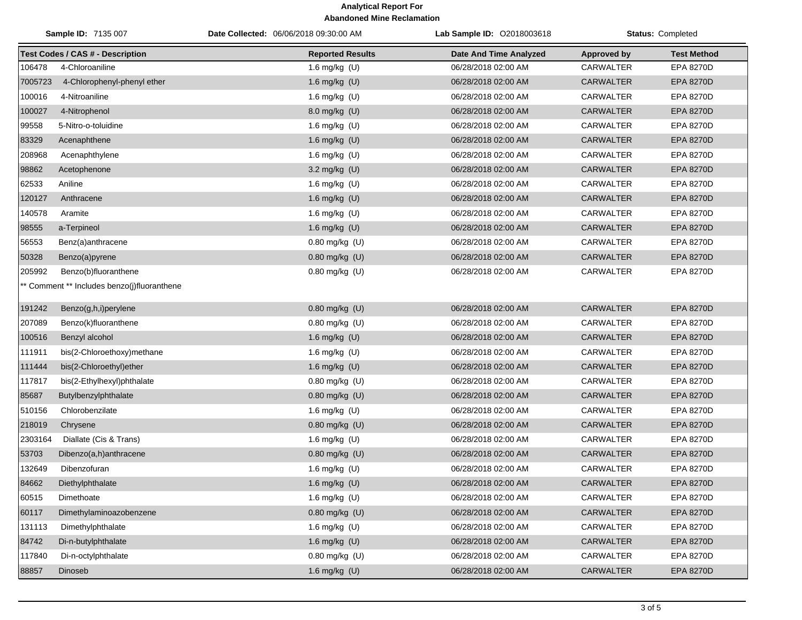| Sample ID: 7135 007 |                                             | Date Collected: 06/06/2018 09:30:00 AM | <b>Lab Sample ID: 02018003618</b> | <b>Status: Completed</b> |                    |
|---------------------|---------------------------------------------|----------------------------------------|-----------------------------------|--------------------------|--------------------|
|                     | <b>Test Codes / CAS # - Description</b>     | <b>Reported Results</b>                | <b>Date And Time Analyzed</b>     | <b>Approved by</b>       | <b>Test Method</b> |
| 106478              | 4-Chloroaniline                             | 1.6 mg/kg $(U)$                        | 06/28/2018 02:00 AM               | <b>CARWALTER</b>         | <b>EPA 8270D</b>   |
| 7005723             | 4-Chlorophenyl-phenyl ether                 | 1.6 mg/kg (U)                          | 06/28/2018 02:00 AM               | <b>CARWALTER</b>         | EPA 8270D          |
| 100016              | 4-Nitroaniline                              | 1.6 mg/kg (U)                          | 06/28/2018 02:00 AM               | <b>CARWALTER</b>         | EPA 8270D          |
| 100027              | 4-Nitrophenol                               | 8.0 mg/kg (U)                          | 06/28/2018 02:00 AM               | <b>CARWALTER</b>         | EPA 8270D          |
| 99558               | 5-Nitro-o-toluidine                         | 1.6 mg/kg $(U)$                        | 06/28/2018 02:00 AM               | CARWALTER                | EPA 8270D          |
| 83329               | Acenaphthene                                | 1.6 mg/kg (U)                          | 06/28/2018 02:00 AM               | <b>CARWALTER</b>         | EPA 8270D          |
| 208968              | Acenaphthylene                              | 1.6 mg/kg (U)                          | 06/28/2018 02:00 AM               | CARWALTER                | EPA 8270D          |
| 98862               | Acetophenone                                | 3.2 mg/kg (U)                          | 06/28/2018 02:00 AM               | <b>CARWALTER</b>         | EPA 8270D          |
| 62533               | Aniline                                     | 1.6 mg/kg (U)                          | 06/28/2018 02:00 AM               | CARWALTER                | EPA 8270D          |
| 120127              | Anthracene                                  | 1.6 mg/kg (U)                          | 06/28/2018 02:00 AM               | <b>CARWALTER</b>         | EPA 8270D          |
| 140578              | Aramite                                     | 1.6 mg/kg (U)                          | 06/28/2018 02:00 AM               | <b>CARWALTER</b>         | EPA 8270D          |
| 98555               | a-Terpineol                                 | 1.6 mg/kg (U)                          | 06/28/2018 02:00 AM               | <b>CARWALTER</b>         | EPA 8270D          |
| 56553               | Benz(a)anthracene                           | $0.80$ mg/kg (U)                       | 06/28/2018 02:00 AM               | <b>CARWALTER</b>         | EPA 8270D          |
| 50328               | Benzo(a)pyrene                              | $0.80$ mg/kg $(U)$                     | 06/28/2018 02:00 AM               | <b>CARWALTER</b>         | EPA 8270D          |
| 205992              | Benzo(b)fluoranthene                        | 0.80 mg/kg (U)                         | 06/28/2018 02:00 AM               | <b>CARWALTER</b>         | EPA 8270D          |
|                     | ** Comment ** Includes benzo(j)fluoranthene |                                        |                                   |                          |                    |
| 191242              | Benzo(g,h,i)perylene                        | $0.80$ mg/kg $(U)$                     | 06/28/2018 02:00 AM               | <b>CARWALTER</b>         | <b>EPA 8270D</b>   |
| 207089              | Benzo(k)fluoranthene                        | 0.80 mg/kg (U)                         | 06/28/2018 02:00 AM               | CARWALTER                | EPA 8270D          |
| 100516              | Benzyl alcohol                              | 1.6 mg/kg (U)                          | 06/28/2018 02:00 AM               | <b>CARWALTER</b>         | <b>EPA 8270D</b>   |
| 111911              | bis(2-Chloroethoxy)methane                  | 1.6 mg/kg (U)                          | 06/28/2018 02:00 AM               | CARWALTER                | EPA 8270D          |
| 111444              | bis(2-Chloroethyl)ether                     | 1.6 mg/kg (U)                          | 06/28/2018 02:00 AM               | <b>CARWALTER</b>         | EPA 8270D          |
| 117817              | bis(2-Ethylhexyl)phthalate                  | 0.80 mg/kg (U)                         | 06/28/2018 02:00 AM               | <b>CARWALTER</b>         | EPA 8270D          |
| 85687               | Butylbenzylphthalate                        | 0.80 mg/kg (U)                         | 06/28/2018 02:00 AM               | <b>CARWALTER</b>         | <b>EPA 8270D</b>   |
| 510156              | Chlorobenzilate                             | 1.6 mg/kg (U)                          | 06/28/2018 02:00 AM               | CARWALTER                | EPA 8270D          |
| 218019              | Chrysene                                    | 0.80 mg/kg (U)                         | 06/28/2018 02:00 AM               | <b>CARWALTER</b>         | EPA 8270D          |
| 2303164             | Diallate (Cis & Trans)                      | 1.6 mg/kg (U)                          | 06/28/2018 02:00 AM               | CARWALTER                | EPA 8270D          |
| 53703               | Dibenzo(a,h)anthracene                      | 0.80 mg/kg (U)                         | 06/28/2018 02:00 AM               | <b>CARWALTER</b>         | EPA 8270D          |
| 132649              | Dibenzofuran                                | 1.6 mg/kg $(U)$                        | 06/28/2018 02:00 AM               | CARWALTER                | EPA 8270D          |
|                     | 84662 Diethylphthalate                      | 1.6 $mg/kg$ (U)                        | 06/28/2018 02:00 AM               | CARWALTER                | EPA 8270D          |
| 60515               | Dimethoate                                  | 1.6 mg/kg $(U)$                        | 06/28/2018 02:00 AM               | CARWALTER                | EPA 8270D          |
| 60117               | Dimethylaminoazobenzene                     | 0.80 mg/kg (U)                         | 06/28/2018 02:00 AM               | <b>CARWALTER</b>         | <b>EPA 8270D</b>   |
| 131113              | Dimethylphthalate                           | 1.6 mg/kg (U)                          | 06/28/2018 02:00 AM               | <b>CARWALTER</b>         | EPA 8270D          |
| 84742               | Di-n-butylphthalate                         | 1.6 mg/kg (U)                          | 06/28/2018 02:00 AM               | <b>CARWALTER</b>         | <b>EPA 8270D</b>   |
| 117840              | Di-n-octylphthalate                         | 0.80 mg/kg (U)                         | 06/28/2018 02:00 AM               | CARWALTER                | EPA 8270D          |
| 88857               | Dinoseb                                     | 1.6 mg/kg (U)                          | 06/28/2018 02:00 AM               | <b>CARWALTER</b>         | EPA 8270D          |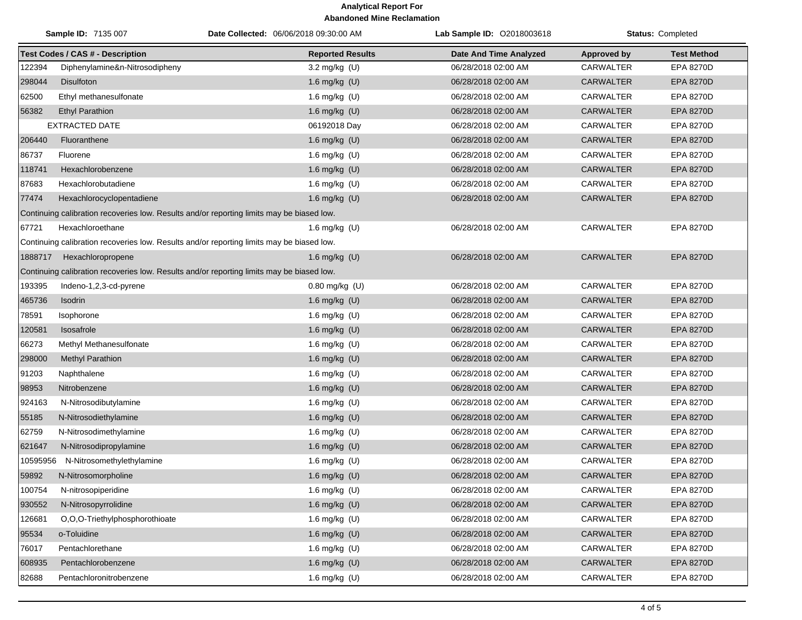|          | Sample ID: 7135 007                                                                       | Date Collected: 06/06/2018 09:30:00 AM | Lab Sample ID: 02018003618    |                    | Status: Completed  |
|----------|-------------------------------------------------------------------------------------------|----------------------------------------|-------------------------------|--------------------|--------------------|
|          | <b>Test Codes / CAS # - Description</b>                                                   | <b>Reported Results</b>                | <b>Date And Time Analyzed</b> | <b>Approved by</b> | <b>Test Method</b> |
| 122394   | Diphenylamine&n-Nitrosodipheny                                                            | 3.2 mg/kg (U)                          | 06/28/2018 02:00 AM           | <b>CARWALTER</b>   | EPA 8270D          |
| 298044   | <b>Disulfoton</b>                                                                         | 1.6 mg/kg (U)                          | 06/28/2018 02:00 AM           | <b>CARWALTER</b>   | <b>EPA 8270D</b>   |
| 62500    | Ethyl methanesulfonate                                                                    | 1.6 mg/kg (U)                          | 06/28/2018 02:00 AM           | CARWALTER          | <b>EPA 8270D</b>   |
| 56382    | <b>Ethyl Parathion</b>                                                                    | 1.6 mg/kg (U)                          | 06/28/2018 02:00 AM           | <b>CARWALTER</b>   | <b>EPA 8270D</b>   |
|          | <b>EXTRACTED DATE</b>                                                                     | 06192018 Day                           | 06/28/2018 02:00 AM           | <b>CARWALTER</b>   | <b>EPA 8270D</b>   |
| 206440   | Fluoranthene                                                                              | 1.6 mg/kg $(U)$                        | 06/28/2018 02:00 AM           | <b>CARWALTER</b>   | EPA 8270D          |
| 86737    | Fluorene                                                                                  | 1.6 mg/kg (U)                          | 06/28/2018 02:00 AM           | CARWALTER          | <b>EPA 8270D</b>   |
| 118741   | Hexachlorobenzene                                                                         | 1.6 mg/kg (U)                          | 06/28/2018 02:00 AM           | <b>CARWALTER</b>   | <b>EPA 8270D</b>   |
| 87683    | Hexachlorobutadiene                                                                       | 1.6 mg/kg (U)                          | 06/28/2018 02:00 AM           | <b>CARWALTER</b>   | EPA 8270D          |
| 77474    | Hexachlorocyclopentadiene                                                                 | 1.6 mg/kg (U)                          | 06/28/2018 02:00 AM           | <b>CARWALTER</b>   | <b>EPA 8270D</b>   |
|          | Continuing calibration recoveries low. Results and/or reporting limits may be biased low. |                                        |                               |                    |                    |
| 67721    | Hexachloroethane                                                                          | 1.6 mg/kg $(U)$                        | 06/28/2018 02:00 AM           | <b>CARWALTER</b>   | <b>EPA 8270D</b>   |
|          | Continuing calibration recoveries low. Results and/or reporting limits may be biased low. |                                        |                               |                    |                    |
| 1888717  | Hexachloropropene                                                                         | 1.6 mg/kg $(U)$                        | 06/28/2018 02:00 AM           | <b>CARWALTER</b>   | <b>EPA 8270D</b>   |
|          | Continuing calibration recoveries low. Results and/or reporting limits may be biased low. |                                        |                               |                    |                    |
| 193395   | Indeno-1,2,3-cd-pyrene                                                                    | $0.80$ mg/kg $(U)$                     | 06/28/2018 02:00 AM           | <b>CARWALTER</b>   | <b>EPA 8270D</b>   |
| 465736   | Isodrin                                                                                   | 1.6 mg/kg (U)                          | 06/28/2018 02:00 AM           | <b>CARWALTER</b>   | <b>EPA 8270D</b>   |
| 78591    | Isophorone                                                                                | 1.6 mg/kg (U)                          | 06/28/2018 02:00 AM           | <b>CARWALTER</b>   | <b>EPA 8270D</b>   |
| 120581   | Isosafrole                                                                                | 1.6 mg/kg (U)                          | 06/28/2018 02:00 AM           | <b>CARWALTER</b>   | <b>EPA 8270D</b>   |
| 66273    | Methyl Methanesulfonate                                                                   | 1.6 mg/kg (U)                          | 06/28/2018 02:00 AM           | <b>CARWALTER</b>   | <b>EPA 8270D</b>   |
| 298000   | Methyl Parathion                                                                          | 1.6 mg/kg (U)                          | 06/28/2018 02:00 AM           | <b>CARWALTER</b>   | EPA 8270D          |
| 91203    | Naphthalene                                                                               | 1.6 mg/kg (U)                          | 06/28/2018 02:00 AM           | CARWALTER          | <b>EPA 8270D</b>   |
| 98953    | Nitrobenzene                                                                              | 1.6 mg/kg (U)                          | 06/28/2018 02:00 AM           | <b>CARWALTER</b>   | <b>EPA 8270D</b>   |
| 924163   | N-Nitrosodibutylamine                                                                     | 1.6 mg/kg (U)                          | 06/28/2018 02:00 AM           | <b>CARWALTER</b>   | EPA 8270D          |
| 55185    | N-Nitrosodiethylamine                                                                     | 1.6 mg/kg (U)                          | 06/28/2018 02:00 AM           | <b>CARWALTER</b>   | EPA 8270D          |
| 62759    | N-Nitrosodimethylamine                                                                    | 1.6 mg/kg (U)                          | 06/28/2018 02:00 AM           | <b>CARWALTER</b>   | EPA 8270D          |
| 621647   | N-Nitrosodipropylamine                                                                    | 1.6 mg/kg (U)                          | 06/28/2018 02:00 AM           | <b>CARWALTER</b>   | <b>EPA 8270D</b>   |
| 10595956 | N-Nitrosomethylethylamine                                                                 | 1.6 mg/kg (U)                          | 06/28/2018 02:00 AM           | CARWALTER          | EPA 8270D          |
| 59892    | N-Nitrosomorpholine                                                                       | 1.6 mg/kg (U)                          | 06/28/2018 02:00 AM           | <b>CARWALTER</b>   | <b>EPA 8270D</b>   |
| 100754   | N-nitrosopiperidine                                                                       | 1.6 mg/kg (U)                          | 06/28/2018 02:00 AM           | <b>CARWALTER</b>   | EPA 8270D          |
| 930552   | N-Nitrosopyrrolidine                                                                      | 1.6 mg/kg (U)                          | 06/28/2018 02:00 AM           | CARWALTER          | EPA 8270D          |
| 126681   | O,O,O-Triethylphosphorothioate                                                            | 1.6 mg/kg (U)                          | 06/28/2018 02:00 AM           | CARWALTER          | EPA 8270D          |
| 95534    | o-Toluidine                                                                               | 1.6 mg/kg (U)                          | 06/28/2018 02:00 AM           | CARWALTER          | EPA 8270D          |
| 76017    | Pentachlorethane                                                                          | 1.6 mg/kg (U)                          | 06/28/2018 02:00 AM           | CARWALTER          | EPA 8270D          |
| 608935   | Pentachlorobenzene                                                                        | 1.6 mg/kg (U)                          | 06/28/2018 02:00 AM           | CARWALTER          | EPA 8270D          |
| 82688    | Pentachloronitrobenzene                                                                   | 1.6 mg/kg (U)                          | 06/28/2018 02:00 AM           | <b>CARWALTER</b>   | EPA 8270D          |